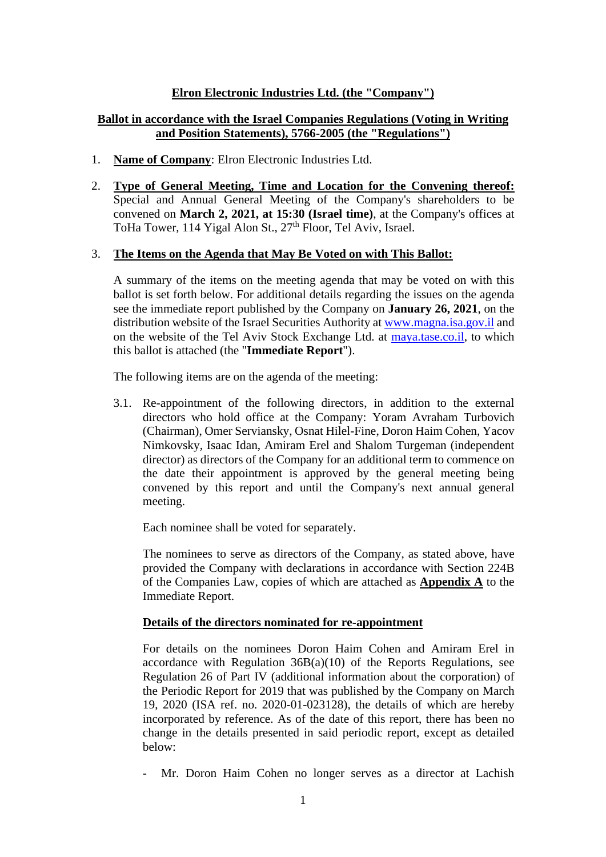# **Elron Electronic Industries Ltd. (the "Company")**

# **Ballot in accordance with the Israel Companies Regulations (Voting in Writing and Position Statements), 5766-2005 (the "Regulations")**

- 1. **Name of Company**: Elron Electronic Industries Ltd.
- 2. **Type of General Meeting, Time and Location for the Convening thereof:** Special and Annual General Meeting of the Company's shareholders to be convened on **March 2, 2021, at 15:30 (Israel time)**, at the Company's offices at ToHa Tower, 114 Yigal Alon St., 27<sup>th</sup> Floor, Tel Aviv, Israel.

#### 3. **The Items on the Agenda that May Be Voted on with This Ballot:**

A summary of the items on the meeting agenda that may be voted on with this ballot is set forth below. For additional details regarding the issues on the agenda see the immediate report published by the Company on **January 26, 2021**, on the distribution website of the Israel Securities Authority a[t www.magna.isa.gov.il](http://www.magna.isa.gov.il/) and on the website of the Tel Aviv Stock Exchange Ltd. at [maya.tase.co.il,](https://maya.tase.co.il/) to which this ballot is attached (the "**Immediate Report**").

The following items are on the agenda of the meeting:

3.1. Re-appointment of the following directors, in addition to the external directors who hold office at the Company: Yoram Avraham Turbovich (Chairman), Omer Serviansky, Osnat Hilel-Fine, Doron Haim Cohen, Yacov Nimkovsky, Isaac Idan, Amiram Erel and Shalom Turgeman (independent director) as directors of the Company for an additional term to commence on the date their appointment is approved by the general meeting being convened by this report and until the Company's next annual general meeting.

Each nominee shall be voted for separately.

The nominees to serve as directors of the Company, as stated above, have provided the Company with declarations in accordance with Section 224B of the Companies Law, copies of which are attached as **Appendix A** to the Immediate Report.

#### **Details of the directors nominated for re-appointment**

For details on the nominees Doron Haim Cohen and Amiram Erel in accordance with Regulation  $36B(a)(10)$  of the Reports Regulations, see Regulation 26 of Part IV (additional information about the corporation) of the Periodic Report for 2019 that was published by the Company on March 19, 2020 (ISA ref. no. 2020-01-023128), the details of which are hereby incorporated by reference. As of the date of this report, there has been no change in the details presented in said periodic report, except as detailed below:

Mr. Doron Haim Cohen no longer serves as a director at Lachish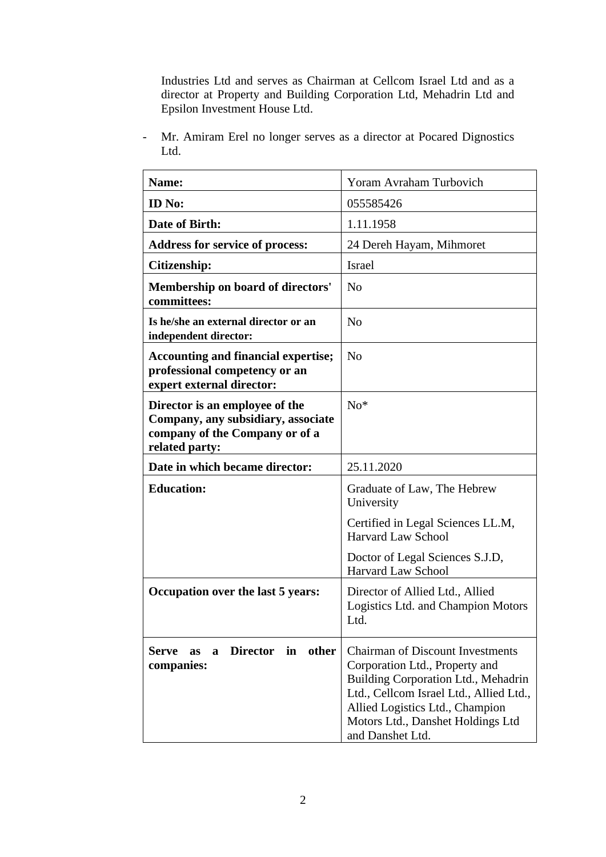Industries Ltd and serves as Chairman at Cellcom Israel Ltd and as a director at Property and Building Corporation Ltd, Mehadrin Ltd and Epsilon Investment House Ltd.

- Mr. Amiram Erel no longer serves as a director at Pocared Dignostics Ltd.

| Name:                                                                                                                    | Yoram Avraham Turbovich                                                                                                                                                                                                                                 |
|--------------------------------------------------------------------------------------------------------------------------|---------------------------------------------------------------------------------------------------------------------------------------------------------------------------------------------------------------------------------------------------------|
| <b>ID</b> No:                                                                                                            | 055585426                                                                                                                                                                                                                                               |
| Date of Birth:                                                                                                           | 1.11.1958                                                                                                                                                                                                                                               |
| <b>Address for service of process:</b>                                                                                   | 24 Dereh Hayam, Mihmoret                                                                                                                                                                                                                                |
| Citizenship:                                                                                                             | Israel                                                                                                                                                                                                                                                  |
| Membership on board of directors'<br>committees:                                                                         | N <sub>o</sub>                                                                                                                                                                                                                                          |
| Is he/she an external director or an<br>independent director:                                                            | N <sub>o</sub>                                                                                                                                                                                                                                          |
| <b>Accounting and financial expertise;</b><br>professional competency or an<br>expert external director:                 | N <sub>o</sub>                                                                                                                                                                                                                                          |
| Director is an employee of the<br>Company, any subsidiary, associate<br>company of the Company or of a<br>related party: | $No*$                                                                                                                                                                                                                                                   |
| Date in which became director:                                                                                           | 25.11.2020                                                                                                                                                                                                                                              |
| <b>Education:</b>                                                                                                        | Graduate of Law, The Hebrew<br>University                                                                                                                                                                                                               |
|                                                                                                                          | Certified in Legal Sciences LL.M,<br><b>Harvard Law School</b>                                                                                                                                                                                          |
|                                                                                                                          | Doctor of Legal Sciences S.J.D,<br>Harvard Law School                                                                                                                                                                                                   |
| Occupation over the last 5 years:                                                                                        | Director of Allied Ltd., Allied<br>Logistics Ltd. and Champion Motors<br>Ltd.                                                                                                                                                                           |
| <b>Director</b><br>in<br>other<br><b>Serve</b><br>a<br><b>as</b><br>companies:                                           | <b>Chairman of Discount Investments</b><br>Corporation Ltd., Property and<br>Building Corporation Ltd., Mehadrin<br>Ltd., Cellcom Israel Ltd., Allied Ltd.,<br>Allied Logistics Ltd., Champion<br>Motors Ltd., Danshet Holdings Ltd<br>and Danshet Ltd. |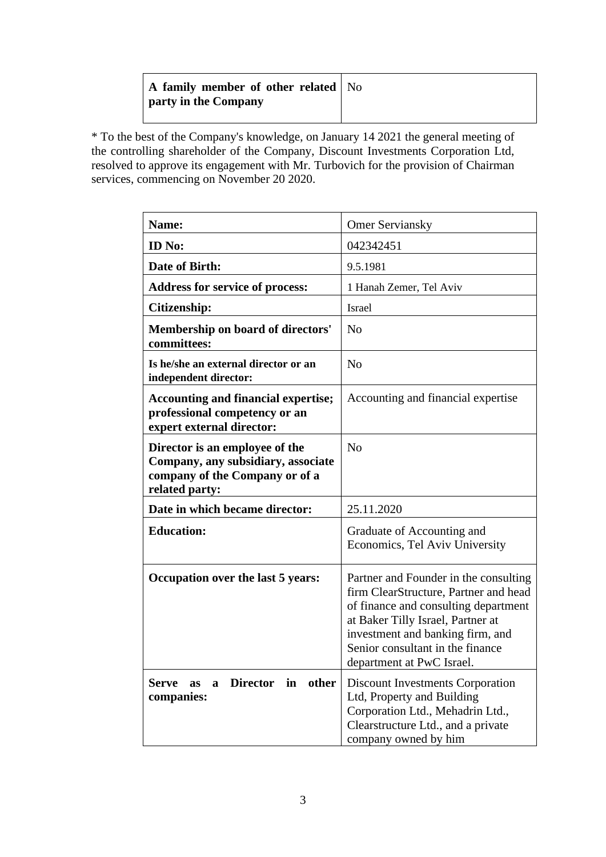| A family member of other related   No<br>party in the Company |  |
|---------------------------------------------------------------|--|
|                                                               |  |

\* To the best of the Company's knowledge, on January 14 2021 the general meeting of the controlling shareholder of the Company, Discount Investments Corporation Ltd, resolved to approve its engagement with Mr. Turbovich for the provision of Chairman services, commencing on November 20 2020.

| Name:                                                                                                                    | <b>Omer Serviansky</b>                                                                                                                                                                                                                                           |
|--------------------------------------------------------------------------------------------------------------------------|------------------------------------------------------------------------------------------------------------------------------------------------------------------------------------------------------------------------------------------------------------------|
| <b>ID</b> No:                                                                                                            | 042342451                                                                                                                                                                                                                                                        |
| Date of Birth:                                                                                                           | 9.5.1981                                                                                                                                                                                                                                                         |
| Address for service of process:                                                                                          | 1 Hanah Zemer, Tel Aviv                                                                                                                                                                                                                                          |
| Citizenship:                                                                                                             | Israel                                                                                                                                                                                                                                                           |
| Membership on board of directors'<br>committees:                                                                         | N <sub>o</sub>                                                                                                                                                                                                                                                   |
| Is he/she an external director or an<br>independent director:                                                            | N <sub>o</sub>                                                                                                                                                                                                                                                   |
| <b>Accounting and financial expertise;</b><br>professional competency or an<br>expert external director:                 | Accounting and financial expertise                                                                                                                                                                                                                               |
| Director is an employee of the<br>Company, any subsidiary, associate<br>company of the Company or of a<br>related party: | N <sub>o</sub>                                                                                                                                                                                                                                                   |
| Date in which became director:                                                                                           | 25.11.2020                                                                                                                                                                                                                                                       |
| <b>Education:</b>                                                                                                        | Graduate of Accounting and<br>Economics, Tel Aviv University                                                                                                                                                                                                     |
| Occupation over the last 5 years:                                                                                        | Partner and Founder in the consulting<br>firm ClearStructure, Partner and head<br>of finance and consulting department<br>at Baker Tilly Israel, Partner at<br>investment and banking firm, and<br>Senior consultant in the finance<br>department at PwC Israel. |
| <b>Director</b><br>other<br>in<br><b>Serve</b><br>as<br>a<br>companies:                                                  | <b>Discount Investments Corporation</b><br>Ltd, Property and Building<br>Corporation Ltd., Mehadrin Ltd.,<br>Clearstructure Ltd., and a private<br>company owned by him                                                                                          |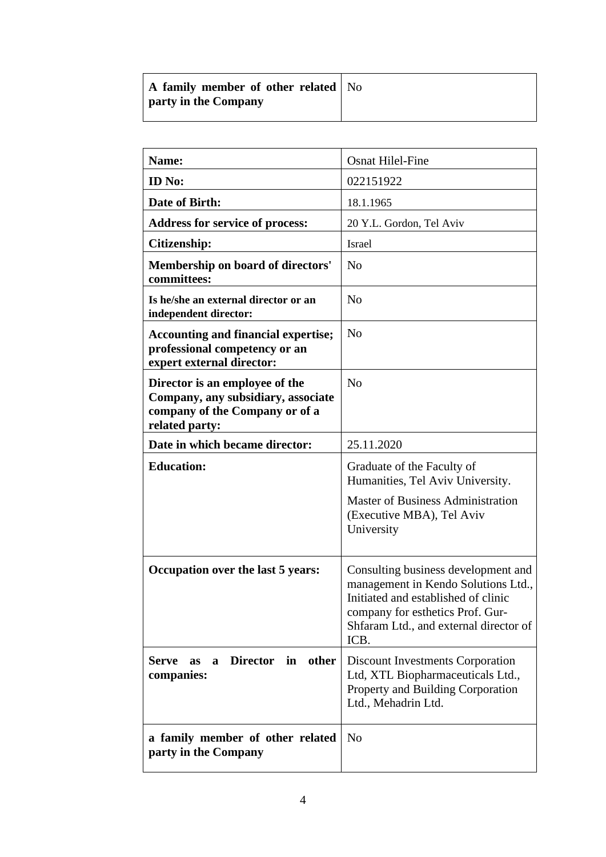| A family member of other related   No<br><b>party in the Company</b> |  |
|----------------------------------------------------------------------|--|
|                                                                      |  |
|                                                                      |  |

| <b>Name:</b>                                                                                                             | <b>Osnat Hilel-Fine</b>                                                                                                                                                                                 |
|--------------------------------------------------------------------------------------------------------------------------|---------------------------------------------------------------------------------------------------------------------------------------------------------------------------------------------------------|
| <b>ID</b> No:                                                                                                            | 022151922                                                                                                                                                                                               |
| Date of Birth:                                                                                                           | 18.1.1965                                                                                                                                                                                               |
| <b>Address for service of process:</b>                                                                                   | 20 Y.L. Gordon, Tel Aviv                                                                                                                                                                                |
| Citizenship:                                                                                                             | Israel                                                                                                                                                                                                  |
| <b>Membership on board of directors'</b><br>committees:                                                                  | N <sub>o</sub>                                                                                                                                                                                          |
| Is he/she an external director or an<br>independent director:                                                            | N <sub>0</sub>                                                                                                                                                                                          |
| <b>Accounting and financial expertise;</b><br>professional competency or an<br>expert external director:                 | N <sub>0</sub>                                                                                                                                                                                          |
| Director is an employee of the<br>Company, any subsidiary, associate<br>company of the Company or of a<br>related party: | N <sub>0</sub>                                                                                                                                                                                          |
| Date in which became director:                                                                                           | 25.11.2020                                                                                                                                                                                              |
| <b>Education:</b>                                                                                                        | Graduate of the Faculty of<br>Humanities, Tel Aviv University.<br><b>Master of Business Administration</b><br>(Executive MBA), Tel Aviv<br>University                                                   |
| Occupation over the last 5 years:                                                                                        | Consulting business development and<br>management in Kendo Solutions Ltd.,<br>Initiated and established of clinic<br>company for esthetics Prof. Gur-<br>Shfaram Ltd., and external director of<br>ICB. |
| <b>Director</b><br>in<br>other<br>Serve<br>$\mathbf{a}$<br><b>as</b><br>companies:                                       | <b>Discount Investments Corporation</b><br>Ltd, XTL Biopharmaceuticals Ltd.,<br>Property and Building Corporation<br>Ltd., Mehadrin Ltd.                                                                |
| a family member of other related<br>party in the Company                                                                 | N <sub>0</sub>                                                                                                                                                                                          |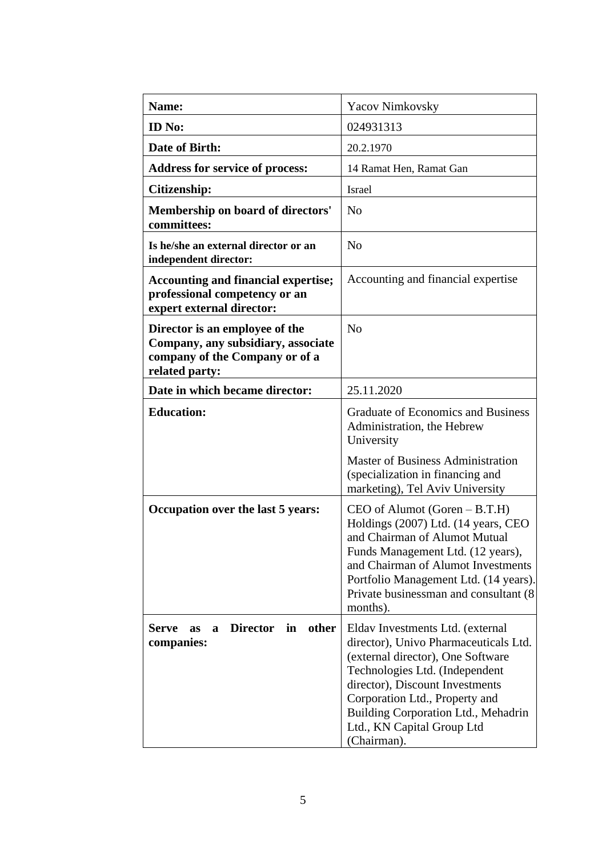| Name:                                                                                                                    | <b>Yacov Nimkovsky</b>                                                                                                                                                                                                                                                                                    |
|--------------------------------------------------------------------------------------------------------------------------|-----------------------------------------------------------------------------------------------------------------------------------------------------------------------------------------------------------------------------------------------------------------------------------------------------------|
| <b>ID</b> No:                                                                                                            | 024931313                                                                                                                                                                                                                                                                                                 |
| Date of Birth:                                                                                                           | 20.2.1970                                                                                                                                                                                                                                                                                                 |
| <b>Address for service of process:</b>                                                                                   | 14 Ramat Hen, Ramat Gan                                                                                                                                                                                                                                                                                   |
| Citizenship:                                                                                                             | Israel                                                                                                                                                                                                                                                                                                    |
| Membership on board of directors'<br>committees:                                                                         | N <sub>o</sub>                                                                                                                                                                                                                                                                                            |
| Is he/she an external director or an<br>independent director:                                                            | N <sub>o</sub>                                                                                                                                                                                                                                                                                            |
| <b>Accounting and financial expertise;</b><br>professional competency or an<br>expert external director:                 | Accounting and financial expertise                                                                                                                                                                                                                                                                        |
| Director is an employee of the<br>Company, any subsidiary, associate<br>company of the Company or of a<br>related party: | N <sub>o</sub>                                                                                                                                                                                                                                                                                            |
| Date in which became director:                                                                                           | 25.11.2020                                                                                                                                                                                                                                                                                                |
| <b>Education:</b>                                                                                                        | <b>Graduate of Economics and Business</b><br>Administration, the Hebrew<br>University                                                                                                                                                                                                                     |
|                                                                                                                          | <b>Master of Business Administration</b><br>(specialization in financing and<br>marketing), Tel Aviv University                                                                                                                                                                                           |
| Occupation over the last 5 years:                                                                                        | $CEO$ of Alumot (Goren $- B.T.H$ )<br>Holdings (2007) Ltd. (14 years, CEO<br>and Chairman of Alumot Mutual<br>Funds Management Ltd. (12 years),<br>and Chairman of Alumot Investments<br>Portfolio Management Ltd. (14 years).<br>Private businessman and consultant (8)<br>months).                      |
| <b>Director</b><br>other<br>in<br><b>Serve</b><br><b>as</b><br>a<br>companies:                                           | Eldav Investments Ltd. (external<br>director), Univo Pharmaceuticals Ltd.<br>(external director), One Software<br>Technologies Ltd. (Independent<br>director), Discount Investments<br>Corporation Ltd., Property and<br>Building Corporation Ltd., Mehadrin<br>Ltd., KN Capital Group Ltd<br>(Chairman). |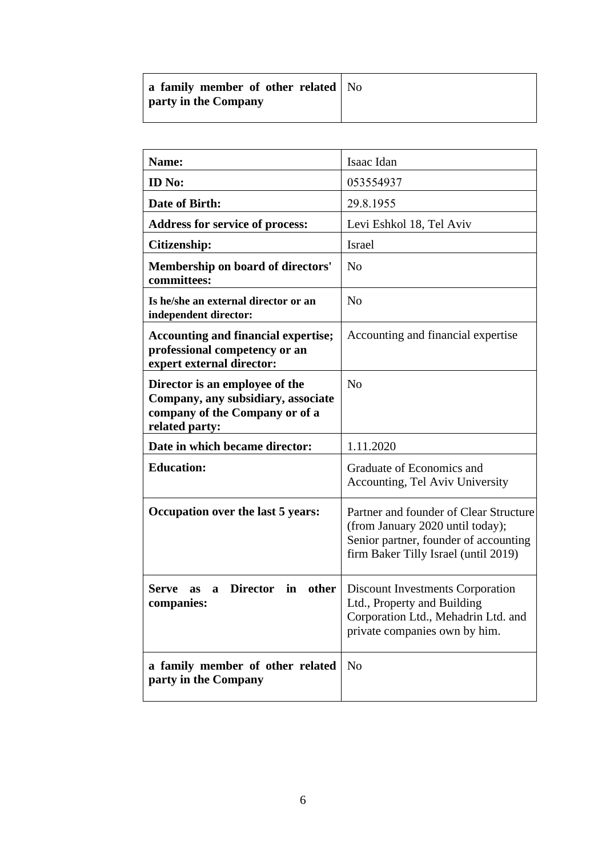| a family member of other related   No<br><b>party in the Company</b> |  |
|----------------------------------------------------------------------|--|
|                                                                      |  |

| Name:                                                                                                                    | Isaac Idan                                                                                                                                                  |
|--------------------------------------------------------------------------------------------------------------------------|-------------------------------------------------------------------------------------------------------------------------------------------------------------|
| ID No:                                                                                                                   | 053554937                                                                                                                                                   |
| Date of Birth:                                                                                                           | 29.8.1955                                                                                                                                                   |
| <b>Address for service of process:</b>                                                                                   | Levi Eshkol 18, Tel Aviv                                                                                                                                    |
| Citizenship:                                                                                                             | Israel                                                                                                                                                      |
| Membership on board of directors'<br>committees:                                                                         | N <sub>o</sub>                                                                                                                                              |
| Is he/she an external director or an<br>independent director:                                                            | N <sub>o</sub>                                                                                                                                              |
| <b>Accounting and financial expertise;</b><br>professional competency or an<br>expert external director:                 | Accounting and financial expertise                                                                                                                          |
| Director is an employee of the<br>Company, any subsidiary, associate<br>company of the Company or of a<br>related party: | No                                                                                                                                                          |
| Date in which became director:                                                                                           | 1.11.2020                                                                                                                                                   |
| <b>Education:</b>                                                                                                        | Graduate of Economics and<br>Accounting, Tel Aviv University                                                                                                |
| Occupation over the last 5 years:                                                                                        | Partner and founder of Clear Structure<br>(from January 2020 until today);<br>Senior partner, founder of accounting<br>firm Baker Tilly Israel (until 2019) |
| <b>Director</b><br>other<br>in<br>Serve<br>as<br>a<br>companies:                                                         | <b>Discount Investments Corporation</b><br>Ltd., Property and Building<br>Corporation Ltd., Mehadrin Ltd. and<br>private companies own by him.              |
| a family member of other related<br>party in the Company                                                                 | N <sub>o</sub>                                                                                                                                              |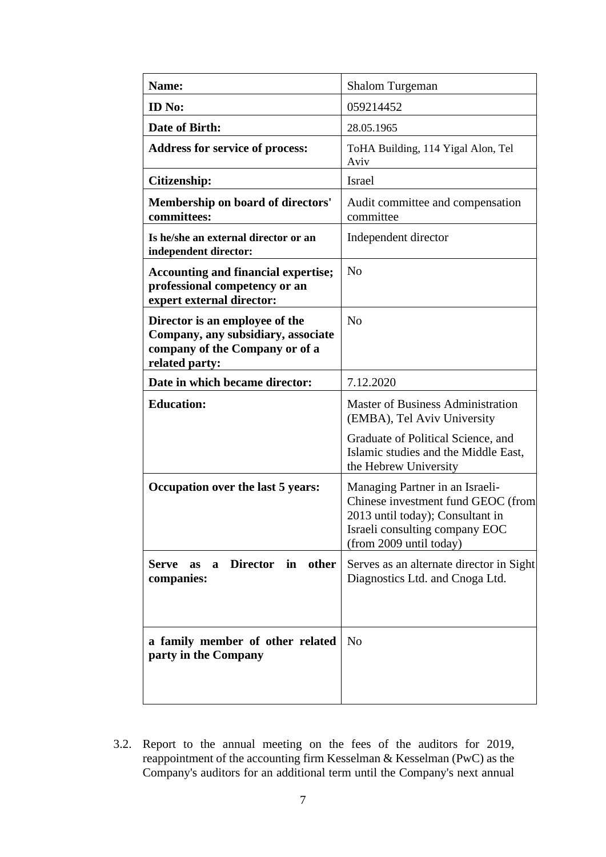| Name:                                                                                                                    | Shalom Turgeman                                                                                                                                                        |
|--------------------------------------------------------------------------------------------------------------------------|------------------------------------------------------------------------------------------------------------------------------------------------------------------------|
| <b>ID</b> No:                                                                                                            | 059214452                                                                                                                                                              |
| Date of Birth:                                                                                                           | 28.05.1965                                                                                                                                                             |
| <b>Address for service of process:</b>                                                                                   | ToHA Building, 114 Yigal Alon, Tel<br>Aviv                                                                                                                             |
| <b>Citizenship:</b>                                                                                                      | <b>Israel</b>                                                                                                                                                          |
| <b>Membership on board of directors'</b><br>committees:                                                                  | Audit committee and compensation<br>committee                                                                                                                          |
| Is he/she an external director or an<br>independent director:                                                            | Independent director                                                                                                                                                   |
| <b>Accounting and financial expertise;</b><br>professional competency or an<br>expert external director:                 | N <sub>o</sub>                                                                                                                                                         |
| Director is an employee of the<br>Company, any subsidiary, associate<br>company of the Company or of a<br>related party: | N <sub>o</sub>                                                                                                                                                         |
| Date in which became director:                                                                                           | 7.12.2020                                                                                                                                                              |
| <b>Education:</b>                                                                                                        | <b>Master of Business Administration</b><br>(EMBA), Tel Aviv University                                                                                                |
|                                                                                                                          | Graduate of Political Science, and<br>Islamic studies and the Middle East,<br>the Hebrew University                                                                    |
| Occupation over the last 5 years:                                                                                        | Managing Partner in an Israeli-<br>Chinese investment fund GEOC (from<br>2013 until today); Consultant in<br>Israeli consulting company EOC<br>(from 2009 until today) |
| Director in<br>other<br><b>Serve</b><br>as<br>$\mathbf{a}$<br>companies:                                                 | Serves as an alternate director in Sight<br>Diagnostics Ltd. and Cnoga Ltd.                                                                                            |
| a family member of other related<br>party in the Company                                                                 | N <sub>o</sub>                                                                                                                                                         |

3.2. Report to the annual meeting on the fees of the auditors for 2019, reappointment of the accounting firm Kesselman & Kesselman (PwC) as the Company's auditors for an additional term until the Company's next annual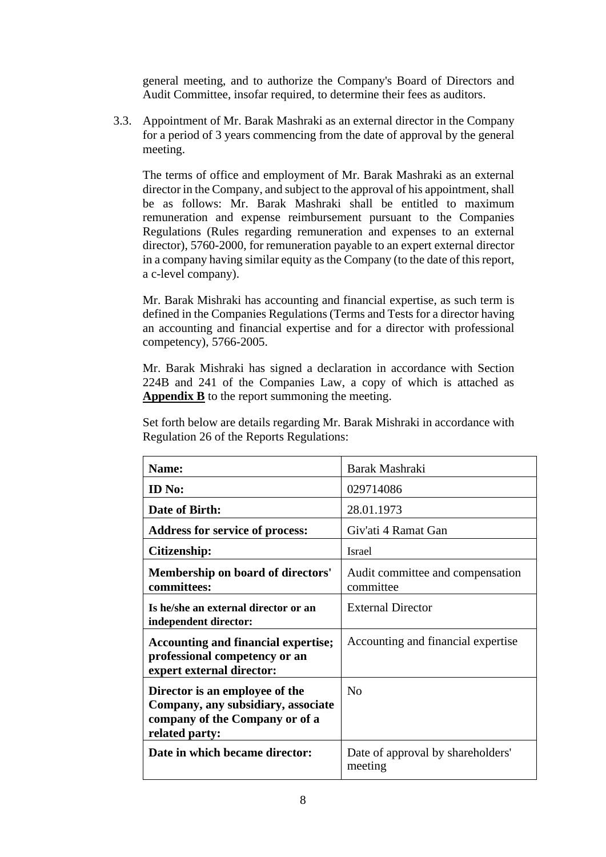general meeting, and to authorize the Company's Board of Directors and Audit Committee, insofar required, to determine their fees as auditors.

3.3. Appointment of Mr. Barak Mashraki as an external director in the Company for a period of 3 years commencing from the date of approval by the general meeting.

The terms of office and employment of Mr. Barak Mashraki as an external director in the Company, and subject to the approval of his appointment, shall be as follows: Mr. Barak Mashraki shall be entitled to maximum remuneration and expense reimbursement pursuant to the Companies Regulations (Rules regarding remuneration and expenses to an external director), 5760-2000, for remuneration payable to an expert external director in a company having similar equity as the Company (to the date of this report, a c-level company).

Mr. Barak Mishraki has accounting and financial expertise, as such term is defined in the Companies Regulations (Terms and Tests for a director having an accounting and financial expertise and for a director with professional competency), 5766-2005.

Mr. Barak Mishraki has signed a declaration in accordance with Section 224B and 241 of the Companies Law, a copy of which is attached as **Appendix B** to the report summoning the meeting.

| Set forth below are details regarding Mr. Barak Mishraki in accordance with |
|-----------------------------------------------------------------------------|
| Regulation 26 of the Reports Regulations:                                   |

| <b>Name:</b>                                                                                                             | Barak Mashraki                                |
|--------------------------------------------------------------------------------------------------------------------------|-----------------------------------------------|
| <b>ID</b> No:                                                                                                            | 029714086                                     |
| Date of Birth:                                                                                                           | 28.01.1973                                    |
| <b>Address for service of process:</b>                                                                                   | Giv'ati 4 Ramat Gan                           |
| Citizenship:                                                                                                             | Israel                                        |
| Membership on board of directors'<br>committees:                                                                         | Audit committee and compensation<br>committee |
| Is he/she an external director or an<br>independent director:                                                            | <b>External Director</b>                      |
| <b>Accounting and financial expertise;</b><br>professional competency or an<br>expert external director:                 | Accounting and financial expertise            |
| Director is an employee of the<br>Company, any subsidiary, associate<br>company of the Company or of a<br>related party: | N <sub>0</sub>                                |
| Date in which became director:                                                                                           | Date of approval by shareholders'<br>meeting  |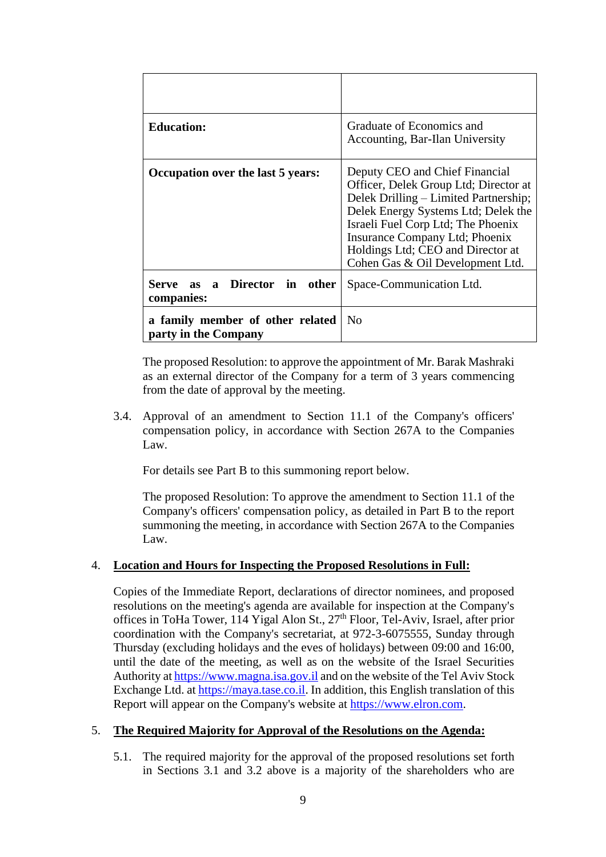| <b>Education:</b>                                        | Graduate of Economics and<br>Accounting, Bar-Ilan University                                                                                                                                                                                                                                             |
|----------------------------------------------------------|----------------------------------------------------------------------------------------------------------------------------------------------------------------------------------------------------------------------------------------------------------------------------------------------------------|
| Occupation over the last 5 years:                        | Deputy CEO and Chief Financial<br>Officer, Delek Group Ltd; Director at<br>Delek Drilling – Limited Partnership;<br>Delek Energy Systems Ltd; Delek the<br>Israeli Fuel Corp Ltd; The Phoenix<br>Insurance Company Ltd; Phoenix<br>Holdings Ltd; CEO and Director at<br>Cohen Gas & Oil Development Ltd. |
| Serve as a Director in other<br>companies:               | Space-Communication Ltd.                                                                                                                                                                                                                                                                                 |
| a family member of other related<br>party in the Company | N <sub>0</sub>                                                                                                                                                                                                                                                                                           |

The proposed Resolution: to approve the appointment of Mr. Barak Mashraki as an external director of the Company for a term of 3 years commencing from the date of approval by the meeting.

3.4. Approval of an amendment to Section 11.1 of the Company's officers' compensation policy, in accordance with Section 267A to the Companies Law.

For details see Part B to this summoning report below.

The proposed Resolution: To approve the amendment to Section 11.1 of the Company's officers' compensation policy, as detailed in Part B to the report summoning the meeting, in accordance with Section 267A to the Companies Law.

# 4. **Location and Hours for Inspecting the Proposed Resolutions in Full:**

Copies of the Immediate Report, declarations of director nominees, and proposed resolutions on the meeting's agenda are available for inspection at the Company's offices in ToHa Tower, 114 Yigal Alon St., 27th Floor, Tel-Aviv, Israel, after prior coordination with the Company's secretariat, at 972-3-6075555, Sunday through Thursday (excluding holidays and the eves of holidays) between 09:00 and 16:00, until the date of the meeting, as well as on the website of the Israel Securities Authority a[t https://www.magna.isa.gov.il](https://www.magna.isa.gov.il/) and on the website of the Tel Aviv Stock Exchange Ltd. at [https://maya.tase.co.il.](https://maya.tase.co.il/) In addition, this English translation of this Report will appear on the Company's website at [https://www.elron.com.](https://www.elron.com/)

# 5. **The Required Majority for Approval of the Resolutions on the Agenda:**

5.1. The required majority for the approval of the proposed resolutions set forth in Sections 3.1 and 3.2 above is a majority of the shareholders who are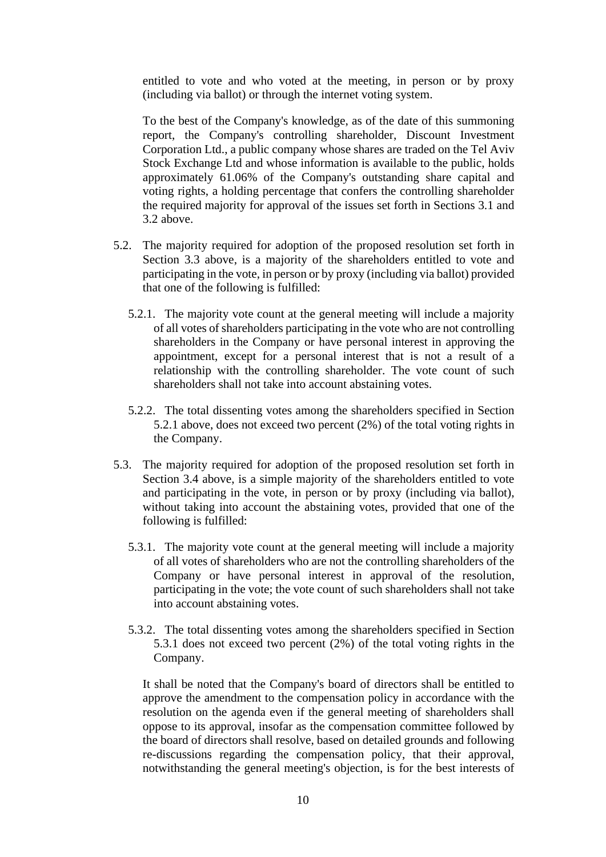entitled to vote and who voted at the meeting, in person or by proxy (including via ballot) or through the internet voting system.

To the best of the Company's knowledge, as of the date of this summoning report, the Company's controlling shareholder, Discount Investment Corporation Ltd., a public company whose shares are traded on the Tel Aviv Stock Exchange Ltd and whose information is available to the public, holds approximately 61.06% of the Company's outstanding share capital and voting rights, a holding percentage that confers the controlling shareholder the required majority for approval of the issues set forth in Sections 3.1 and 3.2 above.

- 5.2. The majority required for adoption of the proposed resolution set forth in Section 3.3 above, is a majority of the shareholders entitled to vote and participating in the vote, in person or by proxy (including via ballot) provided that one of the following is fulfilled:
	- 5.2.1. The majority vote count at the general meeting will include a majority of all votes of shareholders participating in the vote who are not controlling shareholders in the Company or have personal interest in approving the appointment, except for a personal interest that is not a result of a relationship with the controlling shareholder. The vote count of such shareholders shall not take into account abstaining votes.
	- 5.2.2. The total dissenting votes among the shareholders specified in Section 5.2.1 above, does not exceed two percent (2%) of the total voting rights in the Company.
- 5.3. The majority required for adoption of the proposed resolution set forth in Section 3.4 above, is a simple majority of the shareholders entitled to vote and participating in the vote, in person or by proxy (including via ballot), without taking into account the abstaining votes, provided that one of the following is fulfilled:
	- 5.3.1. The majority vote count at the general meeting will include a majority of all votes of shareholders who are not the controlling shareholders of the Company or have personal interest in approval of the resolution, participating in the vote; the vote count of such shareholders shall not take into account abstaining votes.
	- 5.3.2. The total dissenting votes among the shareholders specified in Section 5.3.1 does not exceed two percent (2%) of the total voting rights in the Company.

It shall be noted that the Company's board of directors shall be entitled to approve the amendment to the compensation policy in accordance with the resolution on the agenda even if the general meeting of shareholders shall oppose to its approval, insofar as the compensation committee followed by the board of directors shall resolve, based on detailed grounds and following re-discussions regarding the compensation policy, that their approval, notwithstanding the general meeting's objection, is for the best interests of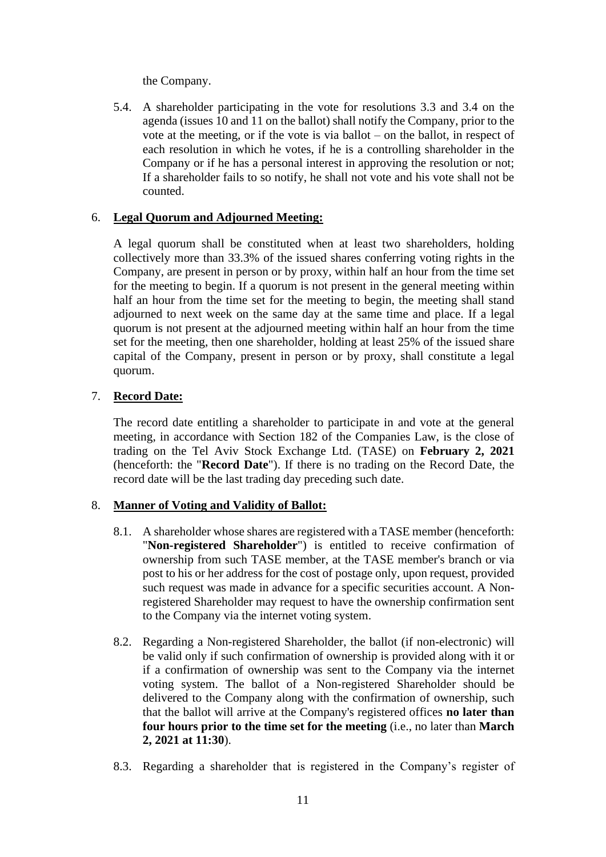the Company.

5.4. A shareholder participating in the vote for resolutions 3.3 and 3.4 on the agenda (issues 10 and 11 on the ballot) shall notify the Company, prior to the vote at the meeting, or if the vote is via ballot – on the ballot, in respect of each resolution in which he votes, if he is a controlling shareholder in the Company or if he has a personal interest in approving the resolution or not; If a shareholder fails to so notify, he shall not vote and his vote shall not be counted.

# 6. **Legal Quorum and Adjourned Meeting:**

A legal quorum shall be constituted when at least two shareholders, holding collectively more than 33.3% of the issued shares conferring voting rights in the Company, are present in person or by proxy, within half an hour from the time set for the meeting to begin. If a quorum is not present in the general meeting within half an hour from the time set for the meeting to begin, the meeting shall stand adjourned to next week on the same day at the same time and place. If a legal quorum is not present at the adjourned meeting within half an hour from the time set for the meeting, then one shareholder, holding at least 25% of the issued share capital of the Company, present in person or by proxy, shall constitute a legal quorum.

# 7. **Record Date:**

The record date entitling a shareholder to participate in and vote at the general meeting, in accordance with Section 182 of the Companies Law, is the close of trading on the Tel Aviv Stock Exchange Ltd. (TASE) on **February 2, 2021** (henceforth: the "**Record Date**"). If there is no trading on the Record Date, the record date will be the last trading day preceding such date.

#### 8. **Manner of Voting and Validity of Ballot:**

- 8.1. A shareholder whose shares are registered with a TASE member (henceforth: "**Non-registered Shareholder**") is entitled to receive confirmation of ownership from such TASE member, at the TASE member's branch or via post to his or her address for the cost of postage only, upon request, provided such request was made in advance for a specific securities account. A Nonregistered Shareholder may request to have the ownership confirmation sent to the Company via the internet voting system.
- 8.2. Regarding a Non-registered Shareholder, the ballot (if non-electronic) will be valid only if such confirmation of ownership is provided along with it or if a confirmation of ownership was sent to the Company via the internet voting system. The ballot of a Non-registered Shareholder should be delivered to the Company along with the confirmation of ownership, such that the ballot will arrive at the Company's registered offices **no later than four hours prior to the time set for the meeting** (i.e., no later than **March 2, 2021 at 11:30**).
- 8.3. Regarding a shareholder that is registered in the Company's register of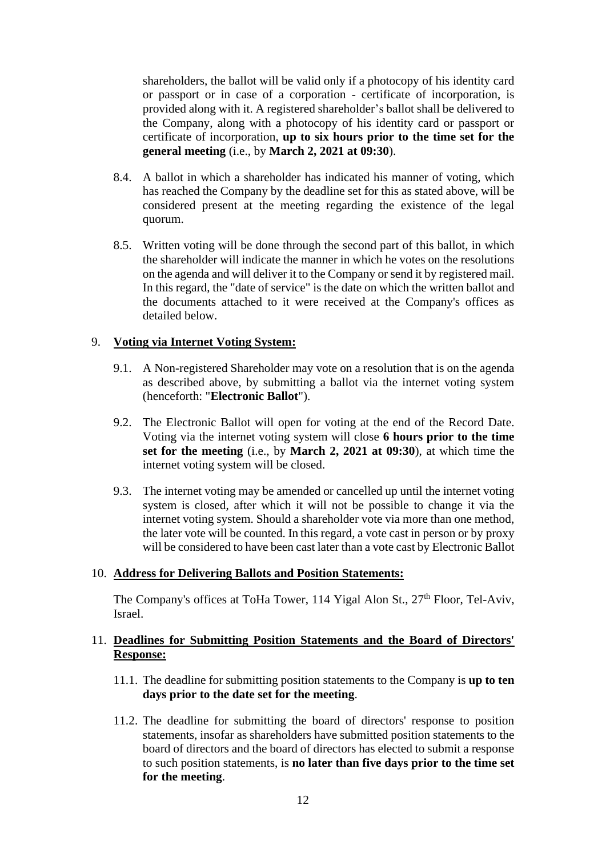shareholders, the ballot will be valid only if a photocopy of his identity card or passport or in case of a corporation - certificate of incorporation, is provided along with it. A registered shareholder's ballot shall be delivered to the Company, along with a photocopy of his identity card or passport or certificate of incorporation, **up to six hours prior to the time set for the general meeting** (i.e., by **March 2, 2021 at 09:30**).

- 8.4. A ballot in which a shareholder has indicated his manner of voting, which has reached the Company by the deadline set for this as stated above, will be considered present at the meeting regarding the existence of the legal quorum.
- 8.5. Written voting will be done through the second part of this ballot, in which the shareholder will indicate the manner in which he votes on the resolutions on the agenda and will deliver it to the Company or send it by registered mail. In this regard, the "date of service" is the date on which the written ballot and the documents attached to it were received at the Company's offices as detailed below.

### 9. **Voting via Internet Voting System:**

- 9.1. A Non-registered Shareholder may vote on a resolution that is on the agenda as described above, by submitting a ballot via the internet voting system (henceforth: "**Electronic Ballot**").
- 9.2. The Electronic Ballot will open for voting at the end of the Record Date. Voting via the internet voting system will close **6 hours prior to the time set for the meeting** (i.e., by **March 2, 2021 at 09:30**), at which time the internet voting system will be closed.
- 9.3. The internet voting may be amended or cancelled up until the internet voting system is closed, after which it will not be possible to change it via the internet voting system. Should a shareholder vote via more than one method, the later vote will be counted. In this regard, a vote cast in person or by proxy will be considered to have been cast later than a vote cast by Electronic Ballot

#### 10. **Address for Delivering Ballots and Position Statements:**

The Company's offices at ToHa Tower, 114 Yigal Alon St.,  $27<sup>th</sup>$  Floor, Tel-Aviv, Israel.

### 11. **Deadlines for Submitting Position Statements and the Board of Directors' Response:**

- 11.1. The deadline for submitting position statements to the Company is **up to ten days prior to the date set for the meeting**.
- 11.2. The deadline for submitting the board of directors' response to position statements, insofar as shareholders have submitted position statements to the board of directors and the board of directors has elected to submit a response to such position statements, is **no later than five days prior to the time set for the meeting**.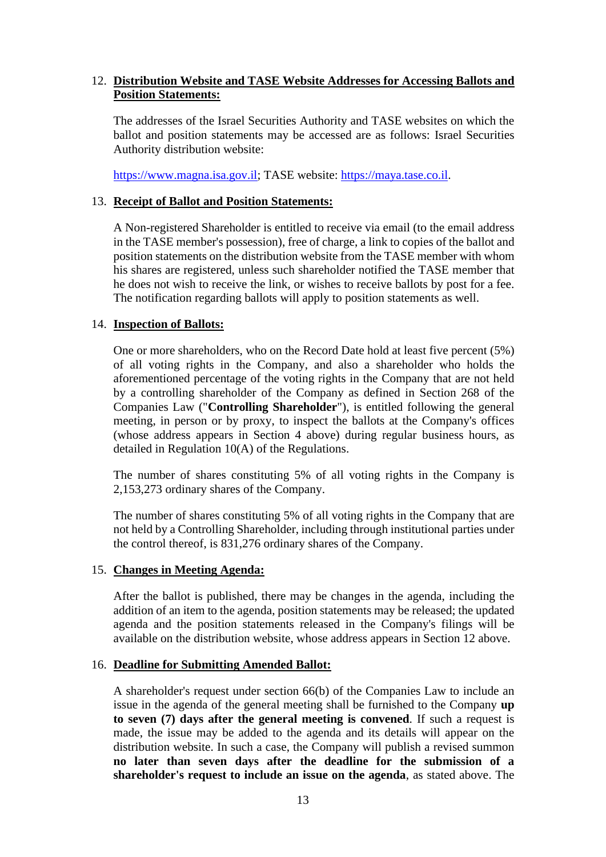# 12. **Distribution Website and TASE Website Addresses for Accessing Ballots and Position Statements:**

The addresses of the Israel Securities Authority and TASE websites on which the ballot and position statements may be accessed are as follows: Israel Securities Authority distribution website:

[https://www.magna.isa.gov.il;](https://www.magna.isa.gov.il/) TASE website: [https://maya.tase.co.il.](https://maya.tase.co.il/)

#### 13. **Receipt of Ballot and Position Statements:**

A Non-registered Shareholder is entitled to receive via email (to the email address in the TASE member's possession), free of charge, a link to copies of the ballot and position statements on the distribution website from the TASE member with whom his shares are registered, unless such shareholder notified the TASE member that he does not wish to receive the link, or wishes to receive ballots by post for a fee. The notification regarding ballots will apply to position statements as well.

### 14. **Inspection of Ballots:**

One or more shareholders, who on the Record Date hold at least five percent (5%) of all voting rights in the Company, and also a shareholder who holds the aforementioned percentage of the voting rights in the Company that are not held by a controlling shareholder of the Company as defined in Section 268 of the Companies Law ("**Controlling Shareholder**"), is entitled following the general meeting, in person or by proxy, to inspect the ballots at the Company's offices (whose address appears in Section 4 above) during regular business hours, as detailed in Regulation 10(A) of the Regulations.

The number of shares constituting 5% of all voting rights in the Company is 2,153,273 ordinary shares of the Company.

The number of shares constituting 5% of all voting rights in the Company that are not held by a Controlling Shareholder, including through institutional parties under the control thereof, is 831,276 ordinary shares of the Company.

#### 15. **Changes in Meeting Agenda:**

After the ballot is published, there may be changes in the agenda, including the addition of an item to the agenda, position statements may be released; the updated agenda and the position statements released in the Company's filings will be available on the distribution website, whose address appears in Section 12 above.

#### 16. **Deadline for Submitting Amended Ballot:**

A shareholder's request under section 66(b) of the Companies Law to include an issue in the agenda of the general meeting shall be furnished to the Company **up to seven (7) days after the general meeting is convened**. If such a request is made, the issue may be added to the agenda and its details will appear on the distribution website. In such a case, the Company will publish a revised summon **no later than seven days after the deadline for the submission of a shareholder's request to include an issue on the agenda**, as stated above. The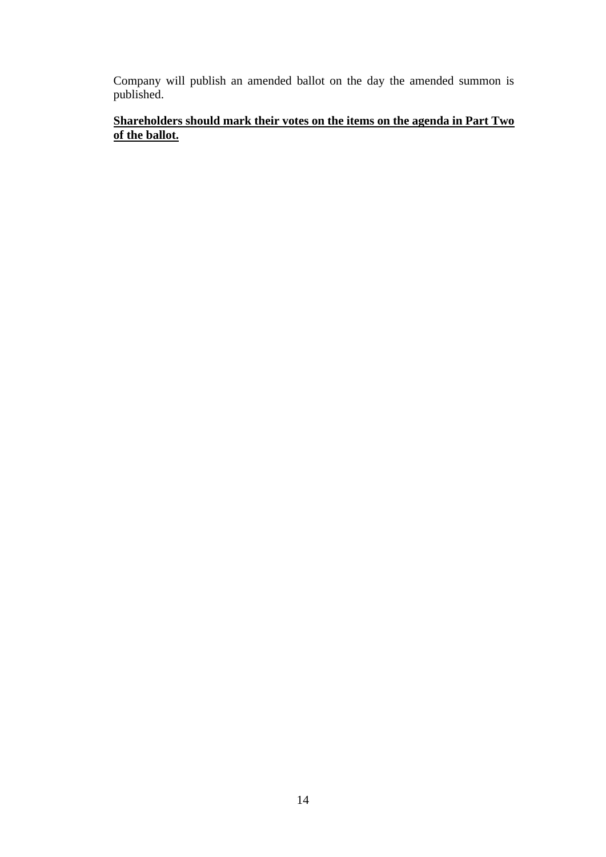Company will publish an amended ballot on the day the amended summon is published.

# **Shareholders should mark their votes on the items on the agenda in Part Two of the ballot.**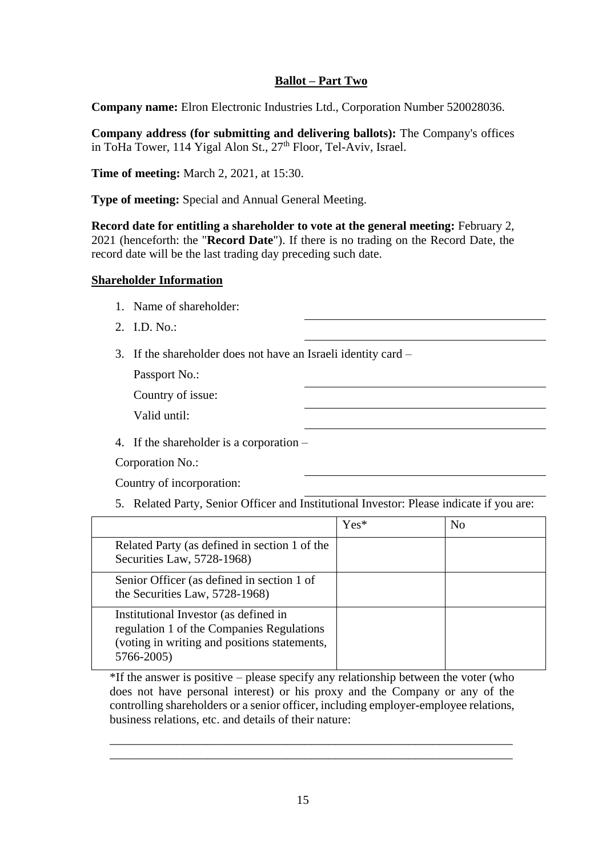# **Ballot – Part Two**

**Company name:** Elron Electronic Industries Ltd., Corporation Number 520028036.

**Company address (for submitting and delivering ballots):** The Company's offices in ToHa Tower, 114 Yigal Alon St.,  $27<sup>th</sup>$  Floor, Tel-Aviv, Israel.

**Time of meeting:** March 2, 2021, at 15:30.

**Type of meeting:** Special and Annual General Meeting.

**Record date for entitling a shareholder to vote at the general meeting:** February 2, 2021 (henceforth: the "**Record Date**"). If there is no trading on the Record Date, the record date will be the last trading day preceding such date.

### **Shareholder Information**

- 1. Name of shareholder:
- 2. I.D. No.:
- 3. If the shareholder does not have an Israeli identity card –

Passport No.:

Country of issue:

Valid until:

4. If the shareholder is a corporation –

Corporation No.:

Country of incorporation:

5. Related Party, Senior Officer and Institutional Investor: Please indicate if you are:

|                                                                                                                                                  | $Yes*$ | N <sub>0</sub> |
|--------------------------------------------------------------------------------------------------------------------------------------------------|--------|----------------|
| Related Party (as defined in section 1 of the<br>Securities Law, 5728-1968)                                                                      |        |                |
| Senior Officer (as defined in section 1 of<br>the Securities Law, 5728-1968)                                                                     |        |                |
| Institutional Investor (as defined in<br>regulation 1 of the Companies Regulations<br>(voting in writing and positions statements,<br>5766-2005) |        |                |

\*If the answer is positive – please specify any relationship between the voter (who does not have personal interest) or his proxy and the Company or any of the controlling shareholders or a senior officer, including employer-employee relations, business relations, etc. and details of their nature:

\_\_\_\_\_\_\_\_\_\_\_\_\_\_\_\_\_\_\_\_\_\_\_\_\_\_\_\_\_\_\_\_\_\_\_\_\_\_\_\_\_\_\_\_\_\_\_\_\_\_\_\_\_\_\_\_\_\_\_\_\_\_\_\_\_\_ \_\_\_\_\_\_\_\_\_\_\_\_\_\_\_\_\_\_\_\_\_\_\_\_\_\_\_\_\_\_\_\_\_\_\_\_\_\_\_\_\_\_\_\_\_\_\_\_\_\_\_\_\_\_\_\_\_\_\_\_\_\_\_\_\_\_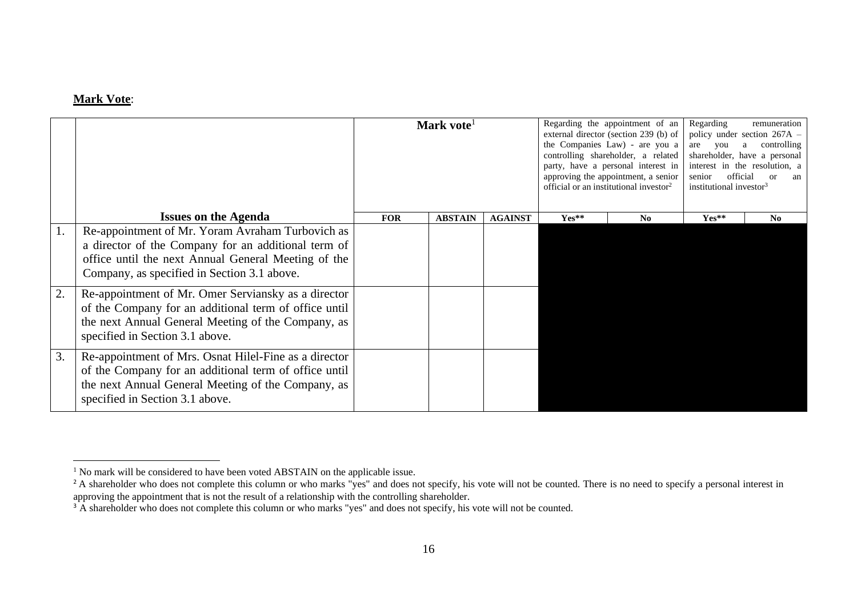# **Mark Vote**:

|    |                                                                                                                                                                                                               | Mark vote <sup>1</sup> |                |                |         | Regarding the appointment of an<br>external director (section 239 (b) of<br>the Companies Law) - are you a<br>controlling shareholder, a related<br>party, have a personal interest in<br>approving the appointment, a senior<br>official or an institutional investor <sup>2</sup> | Regarding<br>are you<br>senior<br>institutional investor <sup>3</sup> | remuneration<br>policy under section $267A -$<br>controlling<br>a<br>shareholder, have a personal<br>interest in the resolution, a<br>official<br>- or<br>an |
|----|---------------------------------------------------------------------------------------------------------------------------------------------------------------------------------------------------------------|------------------------|----------------|----------------|---------|-------------------------------------------------------------------------------------------------------------------------------------------------------------------------------------------------------------------------------------------------------------------------------------|-----------------------------------------------------------------------|--------------------------------------------------------------------------------------------------------------------------------------------------------------|
|    | <b>Issues on the Agenda</b>                                                                                                                                                                                   | <b>FOR</b>             | <b>ABSTAIN</b> | <b>AGAINST</b> | $Yes**$ | No                                                                                                                                                                                                                                                                                  | Yes**                                                                 | N <sub>0</sub>                                                                                                                                               |
|    | Re-appointment of Mr. Yoram Avraham Turbovich as<br>a director of the Company for an additional term of<br>office until the next Annual General Meeting of the<br>Company, as specified in Section 3.1 above. |                        |                |                |         |                                                                                                                                                                                                                                                                                     |                                                                       |                                                                                                                                                              |
| 2. | Re-appointment of Mr. Omer Serviansky as a director<br>of the Company for an additional term of office until<br>the next Annual General Meeting of the Company, as<br>specified in Section 3.1 above.         |                        |                |                |         |                                                                                                                                                                                                                                                                                     |                                                                       |                                                                                                                                                              |
| 3. | Re-appointment of Mrs. Osnat Hilel-Fine as a director<br>of the Company for an additional term of office until<br>the next Annual General Meeting of the Company, as<br>specified in Section 3.1 above.       |                        |                |                |         |                                                                                                                                                                                                                                                                                     |                                                                       |                                                                                                                                                              |

 $1$  No mark will be considered to have been voted ABSTAIN on the applicable issue.

<sup>&</sup>lt;sup>2</sup> A shareholder who does not complete this column or who marks "yes" and does not specify, his vote will not be counted. There is no need to specify a personal interest in approving the appointment that is not the result of a relationship with the controlling shareholder.

<sup>&</sup>lt;sup>3</sup> A shareholder who does not complete this column or who marks "yes" and does not specify, his vote will not be counted.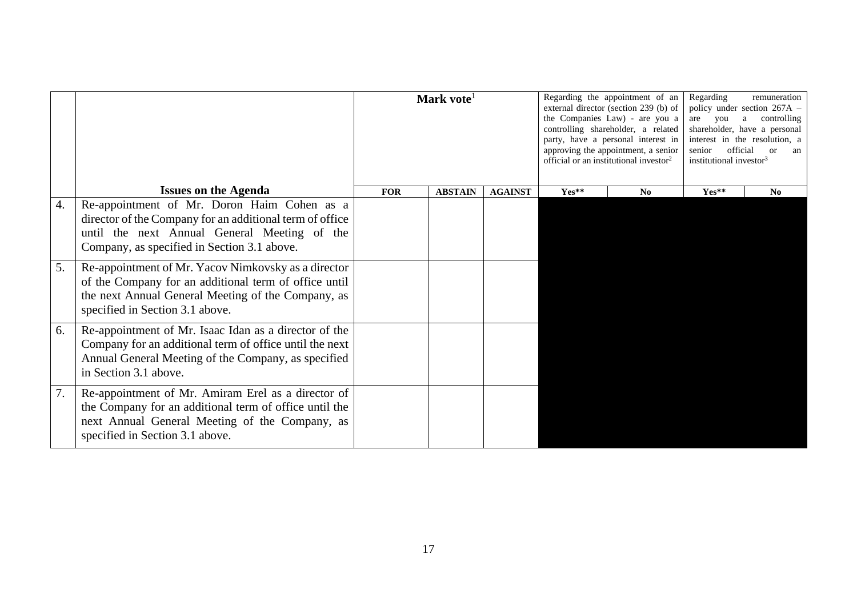|                  |                                                                                                                                                                                                        | Mark vote <sup>1</sup> |                |                |         | Regarding the appointment of an<br>external director (section 239 (b) of<br>the Companies Law) - are you a<br>controlling shareholder, a related<br>party, have a personal interest in<br>approving the appointment, a senior<br>official or an institutional investor <sup>2</sup> | Regarding<br>remuneration<br>policy under section 267A -<br>controlling<br>are you<br>a<br>shareholder, have a personal<br>interest in the resolution, a<br>official<br>senior<br><sub>or</sub><br>an<br>institutional investor <sup>3</sup> |                |  |
|------------------|--------------------------------------------------------------------------------------------------------------------------------------------------------------------------------------------------------|------------------------|----------------|----------------|---------|-------------------------------------------------------------------------------------------------------------------------------------------------------------------------------------------------------------------------------------------------------------------------------------|----------------------------------------------------------------------------------------------------------------------------------------------------------------------------------------------------------------------------------------------|----------------|--|
|                  | <b>Issues on the Agenda</b>                                                                                                                                                                            | <b>FOR</b>             | <b>ABSTAIN</b> | <b>AGAINST</b> | $Yes**$ | No                                                                                                                                                                                                                                                                                  | Yes**                                                                                                                                                                                                                                        | N <sub>0</sub> |  |
| $\overline{4}$ . | Re-appointment of Mr. Doron Haim Cohen as a<br>director of the Company for an additional term of office<br>until the next Annual General Meeting of the<br>Company, as specified in Section 3.1 above. |                        |                |                |         |                                                                                                                                                                                                                                                                                     |                                                                                                                                                                                                                                              |                |  |
| 5.               | Re-appointment of Mr. Yacov Nimkovsky as a director<br>of the Company for an additional term of office until<br>the next Annual General Meeting of the Company, as<br>specified in Section 3.1 above.  |                        |                |                |         |                                                                                                                                                                                                                                                                                     |                                                                                                                                                                                                                                              |                |  |
| 6.               | Re-appointment of Mr. Isaac Idan as a director of the<br>Company for an additional term of office until the next<br>Annual General Meeting of the Company, as specified<br>in Section 3.1 above.       |                        |                |                |         |                                                                                                                                                                                                                                                                                     |                                                                                                                                                                                                                                              |                |  |
| 7.               | Re-appointment of Mr. Amiram Erel as a director of<br>the Company for an additional term of office until the<br>next Annual General Meeting of the Company, as<br>specified in Section 3.1 above.      |                        |                |                |         |                                                                                                                                                                                                                                                                                     |                                                                                                                                                                                                                                              |                |  |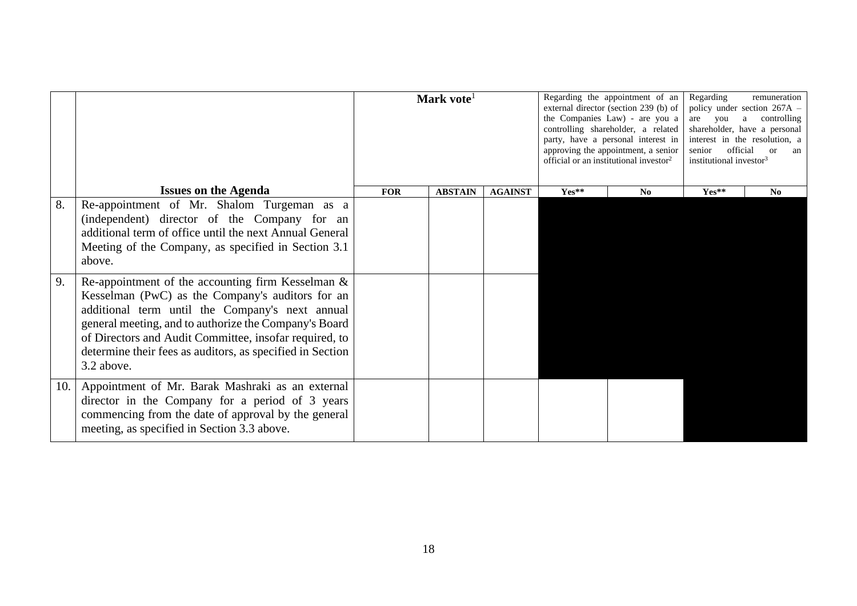|     |                                                                                                                                                                                                                                                                                                                                                           | Mark vote <sup>1</sup> |                |                |         | Regarding the appointment of an<br>external director (section 239 (b) of<br>the Companies Law) - are you a<br>controlling shareholder, a related<br>party, have a personal interest in<br>approving the appointment, a senior<br>official or an institutional investor <sup>2</sup> | Regarding<br>remuneration<br>policy under section 267A -<br>a controlling<br>you<br>are<br>shareholder, have a personal<br>interest in the resolution, a<br>official<br>senior<br>$\alpha$<br>an<br>institutional investor <sup>3</sup> |    |
|-----|-----------------------------------------------------------------------------------------------------------------------------------------------------------------------------------------------------------------------------------------------------------------------------------------------------------------------------------------------------------|------------------------|----------------|----------------|---------|-------------------------------------------------------------------------------------------------------------------------------------------------------------------------------------------------------------------------------------------------------------------------------------|-----------------------------------------------------------------------------------------------------------------------------------------------------------------------------------------------------------------------------------------|----|
|     | <b>Issues on the Agenda</b>                                                                                                                                                                                                                                                                                                                               | <b>FOR</b>             | <b>ABSTAIN</b> | <b>AGAINST</b> | $Yes**$ | $\mathbf{N}\mathbf{0}$                                                                                                                                                                                                                                                              | $Yes**$                                                                                                                                                                                                                                 | No |
| 8.  | Re-appointment of Mr. Shalom Turgeman as a<br>(independent) director of the Company for an<br>additional term of office until the next Annual General<br>Meeting of the Company, as specified in Section 3.1<br>above.                                                                                                                                    |                        |                |                |         |                                                                                                                                                                                                                                                                                     |                                                                                                                                                                                                                                         |    |
| 9.  | Re-appointment of the accounting firm Kesselman $\&$<br>Kesselman (PwC) as the Company's auditors for an<br>additional term until the Company's next annual<br>general meeting, and to authorize the Company's Board<br>of Directors and Audit Committee, insofar required, to<br>determine their fees as auditors, as specified in Section<br>3.2 above. |                        |                |                |         |                                                                                                                                                                                                                                                                                     |                                                                                                                                                                                                                                         |    |
| 10. | Appointment of Mr. Barak Mashraki as an external<br>director in the Company for a period of 3 years<br>commencing from the date of approval by the general<br>meeting, as specified in Section 3.3 above.                                                                                                                                                 |                        |                |                |         |                                                                                                                                                                                                                                                                                     |                                                                                                                                                                                                                                         |    |